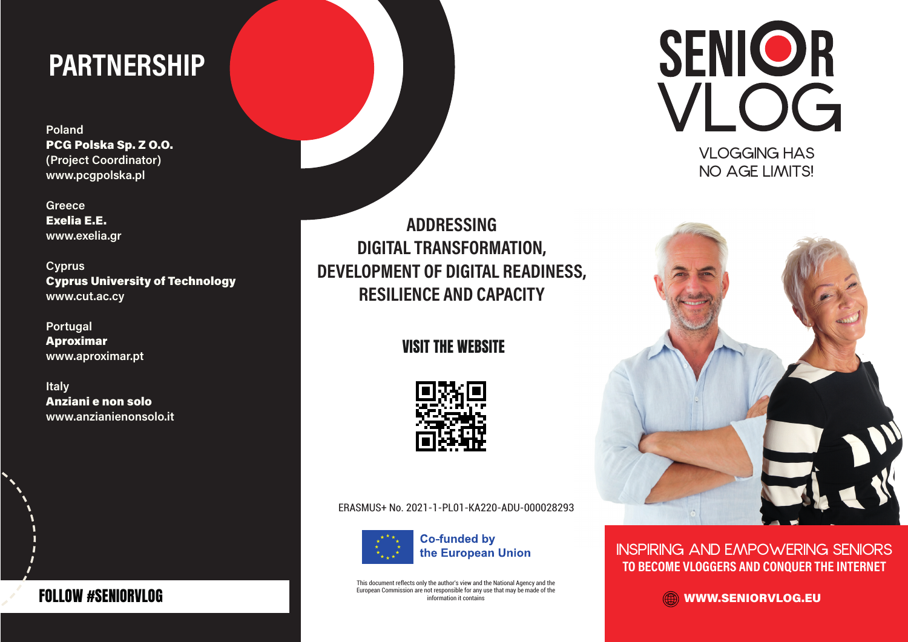# PARTNERSHIP

Poland PCG Polska Sp. Z O.O. (Project Coordinator) www.pcgpolska.pl

**Greece** Exelia E.E. www.exelia.gr

Cyprus Cyprus University of Technology www.cut.ac.cy

Portugal Aproximar www.aproximar.pt

Italy Anziani e non solo www.anzianienonsolo.it

ADDRESSING DIGITAL TRANSFORMATION, DEVELOPMENT OF DIGITAL READINESS, RESILIENCE AND CAPACITY

### VISIT THE WEBSITE



#### ERASMUS+ No. 2021-1-PL01-KA220-ADU-000028293



This document reflects only the author's view and the National Agency and the European Commission are not responsible for any use that may be made of the information it contains





INSPIRING AND EMPOWERING SENIORS TO BECOME VLOGGERS AND CONQUER THE INTERNET

WWW.SENIORVLOG.EU

### FOLLOW #SENIORVLOG